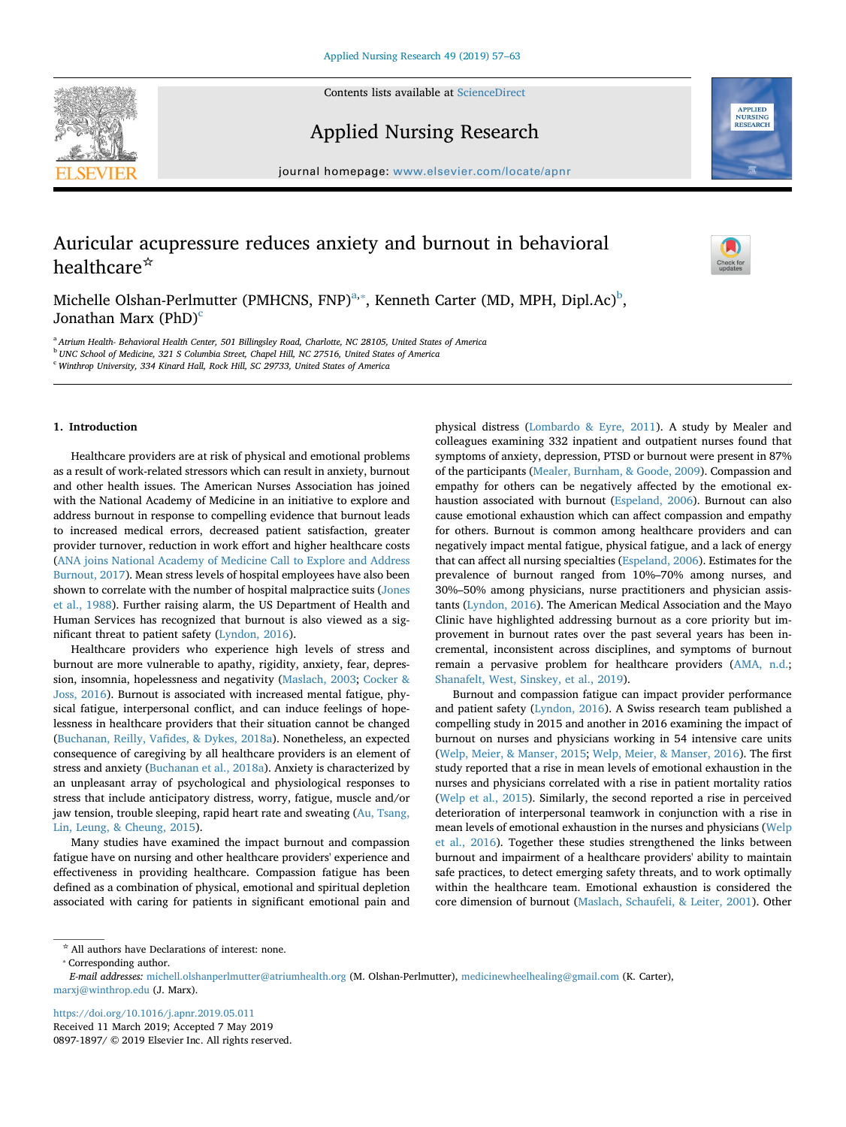

Contents lists available at [ScienceDirect](http://www.sciencedirect.com/science/journal/08971897)

Applied Nursing Research



journal homepage: [www.elsevier.com/locate/apnr](https://www.elsevier.com/locate/apnr)

# Auricular acupressure reduces anxiety and burnout in behavioral healthcare<sup>☆</sup>

 $\sum_{\text{the}}$ 

Michelle Olsh[a](#page-0-0)n-Perlmutter (PMHCNS, FNP) $^{a,*}$ , Kenneth Carter (MD, MPH, Dipl.Ac) $^b$ , Jonathan Marx  $(PhD)^c$ 

<span id="page-0-0"></span><sup>a</sup> *Atrium Health- Behavioral Health Center, 501 Billingsley Road, Charlotte, NC 28105, United States of America*

<span id="page-0-2"></span><sup>b</sup> *UNC School of Medicine, 321 S Columbia Street, Chapel Hill, NC 27516, United States of America*

<span id="page-0-3"></span><sup>c</sup> *Winthrop University, 334 Kinard Hall, Rock Hill, SC 29733, United States of America*

# **1. Introduction**

Healthcare providers are at risk of physical and emotional problems as a result of work-related stressors which can result in anxiety, burnout and other health issues. The American Nurses Association has joined with the National Academy of Medicine in an initiative to explore and address burnout in response to compelling evidence that burnout leads to increased medical errors, decreased patient satisfaction, greater provider turnover, reduction in work effort and higher healthcare costs ([ANA joins National Academy of Medicine Call to Explore and Address](#page-6-0) [Burnout, 2017](#page-6-0)). Mean stress levels of hospital employees have also been shown to correlate with the number of hospital malpractice suits ([Jones](#page-6-1) [et al., 1988\)](#page-6-1). Further raising alarm, the US Department of Health and Human Services has recognized that burnout is also viewed as a significant threat to patient safety [\(Lyndon, 2016\)](#page-6-2).

Healthcare providers who experience high levels of stress and burnout are more vulnerable to apathy, rigidity, anxiety, fear, depression, insomnia, hopelessness and negativity ([Maslach, 2003;](#page-6-3) [Cocker &](#page-6-4) [Joss, 2016](#page-6-4)). Burnout is associated with increased mental fatigue, physical fatigue, interpersonal conflict, and can induce feelings of hopelessness in healthcare providers that their situation cannot be changed ([Buchanan, Reilly, Vafides, & Dykes, 2018a\)](#page-6-5). Nonetheless, an expected consequence of caregiving by all healthcare providers is an element of stress and anxiety [\(Buchanan et al., 2018a\)](#page-6-5). Anxiety is characterized by an unpleasant array of psychological and physiological responses to stress that include anticipatory distress, worry, fatigue, muscle and/or jaw tension, trouble sleeping, rapid heart rate and sweating [\(Au, Tsang,](#page-6-6) [Lin, Leung, & Cheung, 2015\)](#page-6-6).

Many studies have examined the impact burnout and compassion fatigue have on nursing and other healthcare providers' experience and effectiveness in providing healthcare. Compassion fatigue has been defined as a combination of physical, emotional and spiritual depletion associated with caring for patients in significant emotional pain and physical distress ([Lombardo & Eyre, 2011](#page-6-7)). A study by Mealer and colleagues examining 332 inpatient and outpatient nurses found that symptoms of anxiety, depression, PTSD or burnout were present in 87% of the participants ([Mealer, Burnham, & Goode, 2009](#page-6-8)). Compassion and empathy for others can be negatively affected by the emotional exhaustion associated with burnout ([Espeland, 2006\)](#page-6-9). Burnout can also cause emotional exhaustion which can affect compassion and empathy for others. Burnout is common among healthcare providers and can negatively impact mental fatigue, physical fatigue, and a lack of energy that can affect all nursing specialties [\(Espeland, 2006](#page-6-9)). Estimates for the prevalence of burnout ranged from 10%–70% among nurses, and 30%–50% among physicians, nurse practitioners and physician assistants ([Lyndon, 2016\)](#page-6-2). The American Medical Association and the Mayo Clinic have highlighted addressing burnout as a core priority but improvement in burnout rates over the past several years has been incremental, inconsistent across disciplines, and symptoms of burnout remain a pervasive problem for healthcare providers ([AMA, n.d.](#page-6-10); [Shanafelt, West, Sinskey, et al., 2019\)](#page-6-11).

Burnout and compassion fatigue can impact provider performance and patient safety [\(Lyndon, 2016\)](#page-6-2). A Swiss research team published a compelling study in 2015 and another in 2016 examining the impact of burnout on nurses and physicians working in 54 intensive care units ([Welp, Meier, & Manser, 2015;](#page-6-12) [Welp, Meier, & Manser, 2016\)](#page-6-13). The first study reported that a rise in mean levels of emotional exhaustion in the nurses and physicians correlated with a rise in patient mortality ratios ([Welp et al., 2015\)](#page-6-12). Similarly, the second reported a rise in perceived deterioration of interpersonal teamwork in conjunction with a rise in mean levels of emotional exhaustion in the nurses and physicians [\(Welp](#page-6-13) [et al., 2016](#page-6-13)). Together these studies strengthened the links between burnout and impairment of a healthcare providers' ability to maintain safe practices, to detect emerging safety threats, and to work optimally within the healthcare team. Emotional exhaustion is considered the core dimension of burnout [\(Maslach, Schaufeli, & Leiter, 2001\)](#page-6-14). Other

<https://doi.org/10.1016/j.apnr.2019.05.011> Received 11 March 2019; Accepted 7 May 2019 0897-1897/ © 2019 Elsevier Inc. All rights reserved.

 $^{\star}$  All authors have Declarations of interest: none.

<span id="page-0-1"></span><sup>⁎</sup> Corresponding author.

*E-mail addresses:* [michell.olshanperlmutter@atriumhealth.org](mailto:michell.olshanperlmutter@atriumhealth.org) (M. Olshan-Perlmutter), [medicinewheelhealing@gmail.com](mailto:medicinewheelhealing@gmail.com) (K. Carter), [marxj@winthrop.edu](mailto:marxj@winthrop.edu) (J. Marx).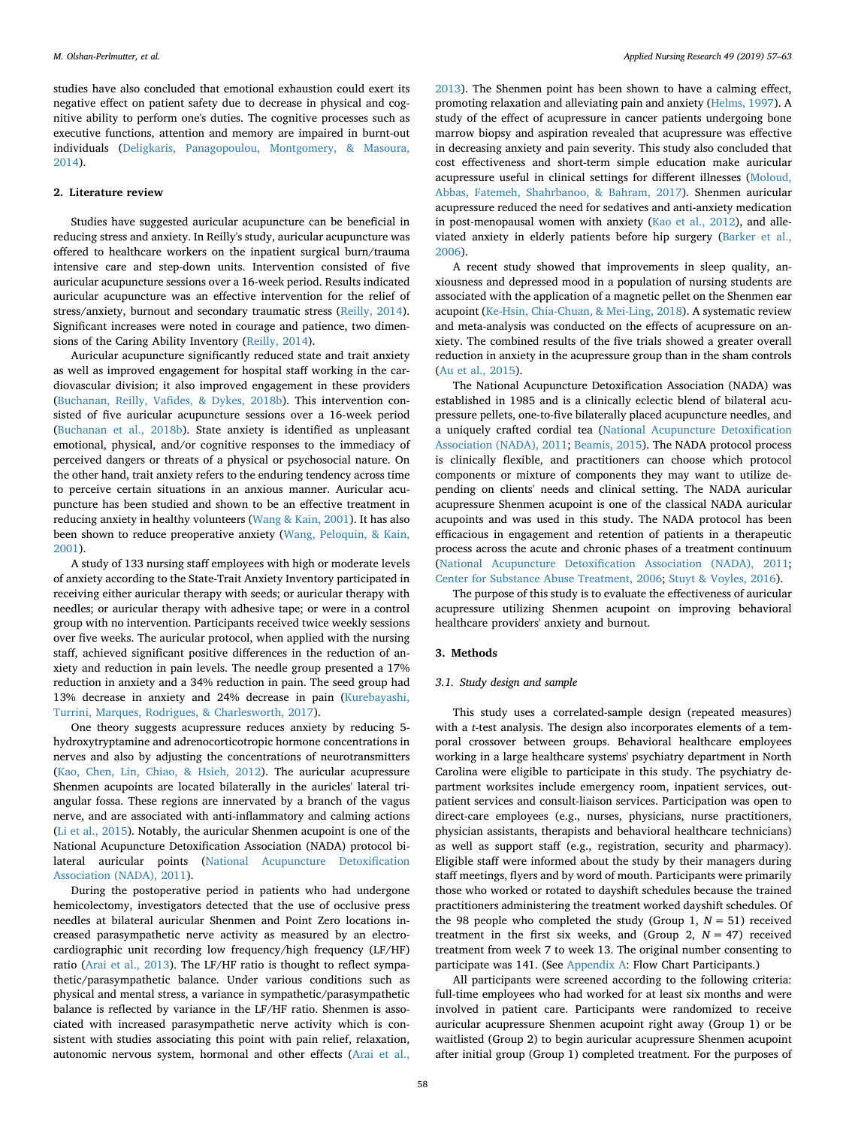studies have also concluded that emotional exhaustion could exert its negative effect on patient safety due to decrease in physical and cognitive ability to perform one's duties. The cognitive processes such as executive functions, attention and memory are impaired in burnt-out individuals [\(Deligkaris, Panagopoulou, Montgomery, & Masoura,](#page-6-15) [2014\)](#page-6-15).

# **2. Literature review**

Studies have suggested auricular acupuncture can be beneficial in reducing stress and anxiety. In Reilly's study, auricular acupuncture was offered to healthcare workers on the inpatient surgical burn/trauma intensive care and step-down units. Intervention consisted of five auricular acupuncture sessions over a 16-week period. Results indicated auricular acupuncture was an effective intervention for the relief of stress/anxiety, burnout and secondary traumatic stress ([Reilly, 2014](#page-6-16)). Significant increases were noted in courage and patience, two dimensions of the Caring Ability Inventory ([Reilly, 2014\)](#page-6-16).

Auricular acupuncture significantly reduced state and trait anxiety as well as improved engagement for hospital staff working in the cardiovascular division; it also improved engagement in these providers ([Buchanan, Reilly, Vafides, & Dykes, 2018b\)](#page-6-17). This intervention consisted of five auricular acupuncture sessions over a 16-week period ([Buchanan et al., 2018b\)](#page-6-17). State anxiety is identified as unpleasant emotional, physical, and/or cognitive responses to the immediacy of perceived dangers or threats of a physical or psychosocial nature. On the other hand, trait anxiety refers to the enduring tendency across time to perceive certain situations in an anxious manner. Auricular acupuncture has been studied and shown to be an effective treatment in reducing anxiety in healthy volunteers ([Wang & Kain, 2001](#page-6-18)). It has also been shown to reduce preoperative anxiety ([Wang, Peloquin, & Kain,](#page-6-19) [2001\)](#page-6-19).

A study of 133 nursing staff employees with high or moderate levels of anxiety according to the State-Trait Anxiety Inventory participated in receiving either auricular therapy with seeds; or auricular therapy with needles; or auricular therapy with adhesive tape; or were in a control group with no intervention. Participants received twice weekly sessions over five weeks. The auricular protocol, when applied with the nursing staff, achieved significant positive differences in the reduction of anxiety and reduction in pain levels. The needle group presented a 17% reduction in anxiety and a 34% reduction in pain. The seed group had 13% decrease in anxiety and 24% decrease in pain ([Kurebayashi,](#page-6-20) [Turrini, Marques, Rodrigues, & Charlesworth, 2017\)](#page-6-20).

One theory suggests acupressure reduces anxiety by reducing 5 hydroxytryptamine and adrenocorticotropic hormone concentrations in nerves and also by adjusting the concentrations of neurotransmitters ([Kao, Chen, Lin, Chiao, & Hsieh, 2012\)](#page-6-21). The auricular acupressure Shenmen acupoints are located bilaterally in the auricles' lateral triangular fossa. These regions are innervated by a branch of the vagus nerve, and are associated with anti-inflammatory and calming actions ([Li et al., 2015\)](#page-6-22). Notably, the auricular Shenmen acupoint is one of the National Acupuncture Detoxification Association (NADA) protocol bilateral auricular points ([National Acupuncture Detoxification](#page-6-23) [Association \(NADA\), 2011](#page-6-23)).

During the postoperative period in patients who had undergone hemicolectomy, investigators detected that the use of occlusive press needles at bilateral auricular Shenmen and Point Zero locations increased parasympathetic nerve activity as measured by an electrocardiographic unit recording low frequency/high frequency (LF/HF) ratio [\(Arai et al., 2013](#page-6-24)). The LF/HF ratio is thought to reflect sympathetic/parasympathetic balance. Under various conditions such as physical and mental stress, a variance in sympathetic/parasympathetic balance is reflected by variance in the LF/HF ratio. Shenmen is associated with increased parasympathetic nerve activity which is consistent with studies associating this point with pain relief, relaxation, autonomic nervous system, hormonal and other effects [\(Arai et al.,](#page-6-24)

[2013\)](#page-6-24). The Shenmen point has been shown to have a calming effect, promoting relaxation and alleviating pain and anxiety ([Helms, 1997](#page-6-25)). A study of the effect of acupressure in cancer patients undergoing bone marrow biopsy and aspiration revealed that acupressure was effective in decreasing anxiety and pain severity. This study also concluded that cost effectiveness and short-term simple education make auricular acupressure useful in clinical settings for different illnesses [\(Moloud,](#page-6-26) [Abbas, Fatemeh, Shahrbanoo, & Bahram, 2017](#page-6-26)). Shenmen auricular acupressure reduced the need for sedatives and anti-anxiety medication in post-menopausal women with anxiety [\(Kao et al., 2012\)](#page-6-21), and alleviated anxiety in elderly patients before hip surgery ([Barker et al.,](#page-6-27) [2006\)](#page-6-27).

A recent study showed that improvements in sleep quality, anxiousness and depressed mood in a population of nursing students are associated with the application of a magnetic pellet on the Shenmen ear acupoint [\(Ke-Hsin, Chia-Chuan, & Mei-Ling, 2018](#page-6-28)). A systematic review and meta-analysis was conducted on the effects of acupressure on anxiety. The combined results of the five trials showed a greater overall reduction in anxiety in the acupressure group than in the sham controls ([Au et al., 2015\)](#page-6-6).

The National Acupuncture Detoxification Association (NADA) was established in 1985 and is a clinically eclectic blend of bilateral acupressure pellets, one-to-five bilaterally placed acupuncture needles, and a uniquely crafted cordial tea ([National Acupuncture Detoxification](#page-6-23) [Association \(NADA\), 2011;](#page-6-23) [Beamis, 2015](#page-6-29)). The NADA protocol process is clinically flexible, and practitioners can choose which protocol components or mixture of components they may want to utilize depending on clients' needs and clinical setting. The NADA auricular acupressure Shenmen acupoint is one of the classical NADA auricular acupoints and was used in this study. The NADA protocol has been efficacious in engagement and retention of patients in a therapeutic process across the acute and chronic phases of a treatment continuum ([National Acupuncture Detoxification Association \(NADA\), 2011](#page-6-23); [Center for Substance Abuse Treatment, 2006](#page-6-30); [Stuyt & Voyles, 2016\)](#page-6-31).

The purpose of this study is to evaluate the effectiveness of auricular acupressure utilizing Shenmen acupoint on improving behavioral healthcare providers' anxiety and burnout.

# **3. Methods**

#### *3.1. Study design and sample*

This study uses a correlated-sample design (repeated measures) with a *t*-test analysis. The design also incorporates elements of a temporal crossover between groups. Behavioral healthcare employees working in a large healthcare systems' psychiatry department in North Carolina were eligible to participate in this study. The psychiatry department worksites include emergency room, inpatient services, outpatient services and consult-liaison services. Participation was open to direct-care employees (e.g., nurses, physicians, nurse practitioners, physician assistants, therapists and behavioral healthcare technicians) as well as support staff (e.g., registration, security and pharmacy). Eligible staff were informed about the study by their managers during staff meetings, flyers and by word of mouth. Participants were primarily those who worked or rotated to dayshift schedules because the trained practitioners administering the treatment worked dayshift schedules. Of the 98 people who completed the study (Group 1,  $N = 51$ ) received treatment in the first six weeks, and (Group 2,  $N = 47$ ) received treatment from week 7 to week 13. The original number consenting to participate was 141. (See [Appendix A](#page-6-32): Flow Chart Participants.)

All participants were screened according to the following criteria: full-time employees who had worked for at least six months and were involved in patient care. Participants were randomized to receive auricular acupressure Shenmen acupoint right away (Group 1) or be waitlisted (Group 2) to begin auricular acupressure Shenmen acupoint after initial group (Group 1) completed treatment. For the purposes of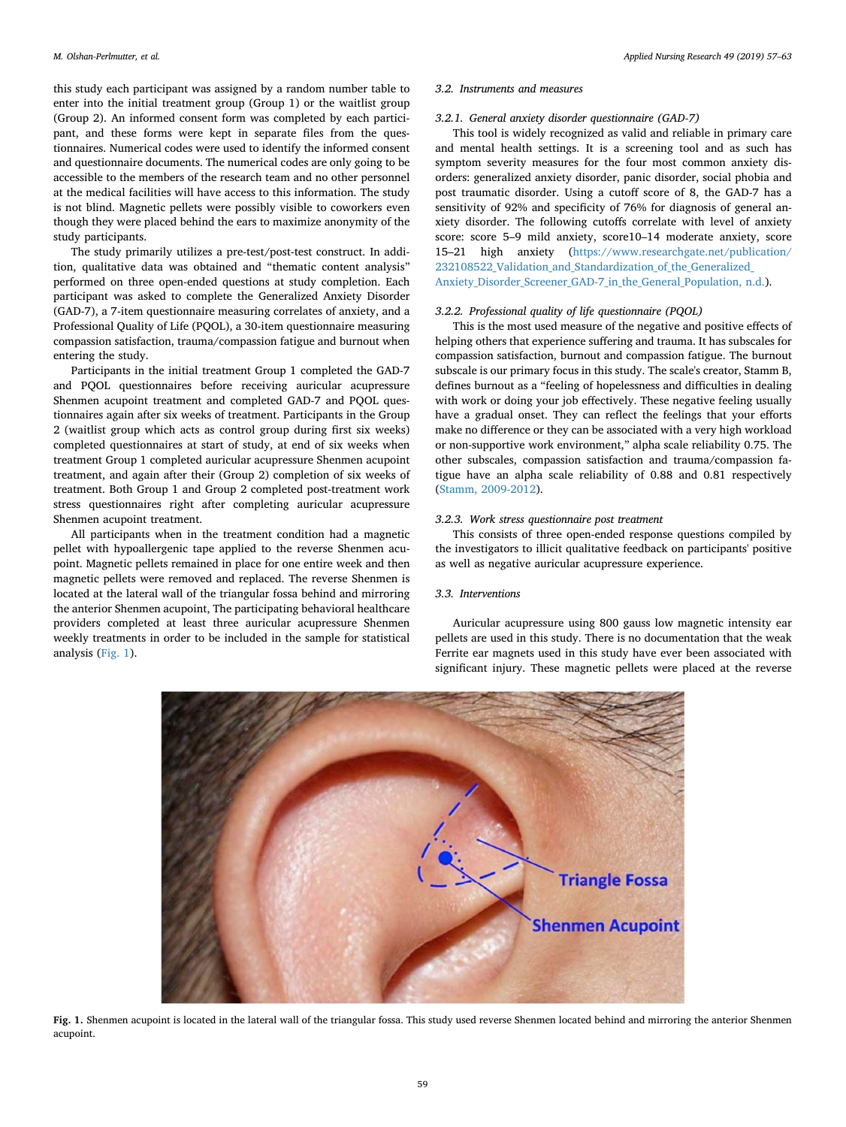this study each participant was assigned by a random number table to enter into the initial treatment group (Group 1) or the waitlist group (Group 2). An informed consent form was completed by each participant, and these forms were kept in separate files from the questionnaires. Numerical codes were used to identify the informed consent and questionnaire documents. The numerical codes are only going to be accessible to the members of the research team and no other personnel at the medical facilities will have access to this information. The study is not blind. Magnetic pellets were possibly visible to coworkers even though they were placed behind the ears to maximize anonymity of the study participants.

The study primarily utilizes a pre-test/post-test construct. In addition, qualitative data was obtained and "thematic content analysis" performed on three open-ended questions at study completion. Each participant was asked to complete the Generalized Anxiety Disorder (GAD-7), a 7-item questionnaire measuring correlates of anxiety, and a Professional Quality of Life (PQOL), a 30-item questionnaire measuring compassion satisfaction, trauma/compassion fatigue and burnout when entering the study.

Participants in the initial treatment Group 1 completed the GAD-7 and PQOL questionnaires before receiving auricular acupressure Shenmen acupoint treatment and completed GAD-7 and PQOL questionnaires again after six weeks of treatment. Participants in the Group 2 (waitlist group which acts as control group during first six weeks) completed questionnaires at start of study, at end of six weeks when treatment Group 1 completed auricular acupressure Shenmen acupoint treatment, and again after their (Group 2) completion of six weeks of treatment. Both Group 1 and Group 2 completed post-treatment work stress questionnaires right after completing auricular acupressure Shenmen acupoint treatment.

All participants when in the treatment condition had a magnetic pellet with hypoallergenic tape applied to the reverse Shenmen acupoint. Magnetic pellets remained in place for one entire week and then magnetic pellets were removed and replaced. The reverse Shenmen is located at the lateral wall of the triangular fossa behind and mirroring the anterior Shenmen acupoint, The participating behavioral healthcare providers completed at least three auricular acupressure Shenmen weekly treatments in order to be included in the sample for statistical analysis [\(Fig. 1\)](#page-2-0).

#### *3.2. Instruments and measures*

# *3.2.1. General anxiety disorder questionnaire (GAD-7)*

This tool is widely recognized as valid and reliable in primary care and mental health settings. It is a screening tool and as such has symptom severity measures for the four most common anxiety disorders: generalized anxiety disorder, panic disorder, social phobia and post traumatic disorder. Using a cutoff score of 8, the GAD-7 has a sensitivity of 92% and specificity of 76% for diagnosis of general anxiety disorder. The following cutoffs correlate with level of anxiety score: score 5–9 mild anxiety, score10–14 moderate anxiety, score 15–21 high anxiety [\(https://www.researchgate.net/publication/](#page-6-33) 232108522 Validation and Standardization of the Generalized [Anxiety\\_Disorder\\_Screener\\_GAD-7\\_in\\_the\\_General\\_Population, n.d.\)](#page-6-33).

#### *3.2.2. Professional quality of life questionnaire (PQOL)*

This is the most used measure of the negative and positive effects of helping others that experience suffering and trauma. It has subscales for compassion satisfaction, burnout and compassion fatigue. The burnout subscale is our primary focus in this study. The scale's creator, Stamm B, defines burnout as a "feeling of hopelessness and difficulties in dealing with work or doing your job effectively. These negative feeling usually have a gradual onset. They can reflect the feelings that your efforts make no difference or they can be associated with a very high workload or non-supportive work environment," alpha scale reliability 0.75. The other subscales, compassion satisfaction and trauma/compassion fatigue have an alpha scale reliability of 0.88 and 0.81 respectively ([Stamm, 2009-2012](#page-6-34)).

#### *3.2.3. Work stress questionnaire post treatment*

This consists of three open-ended response questions compiled by the investigators to illicit qualitative feedback on participants' positive as well as negative auricular acupressure experience.

# *3.3. Interventions*

Auricular acupressure using 800 gauss low magnetic intensity ear pellets are used in this study. There is no documentation that the weak Ferrite ear magnets used in this study have ever been associated with significant injury. These magnetic pellets were placed at the reverse

<span id="page-2-0"></span>

**Fig. 1.** Shenmen acupoint is located in the lateral wall of the triangular fossa. This study used reverse Shenmen located behind and mirroring the anterior Shenmen acupoint.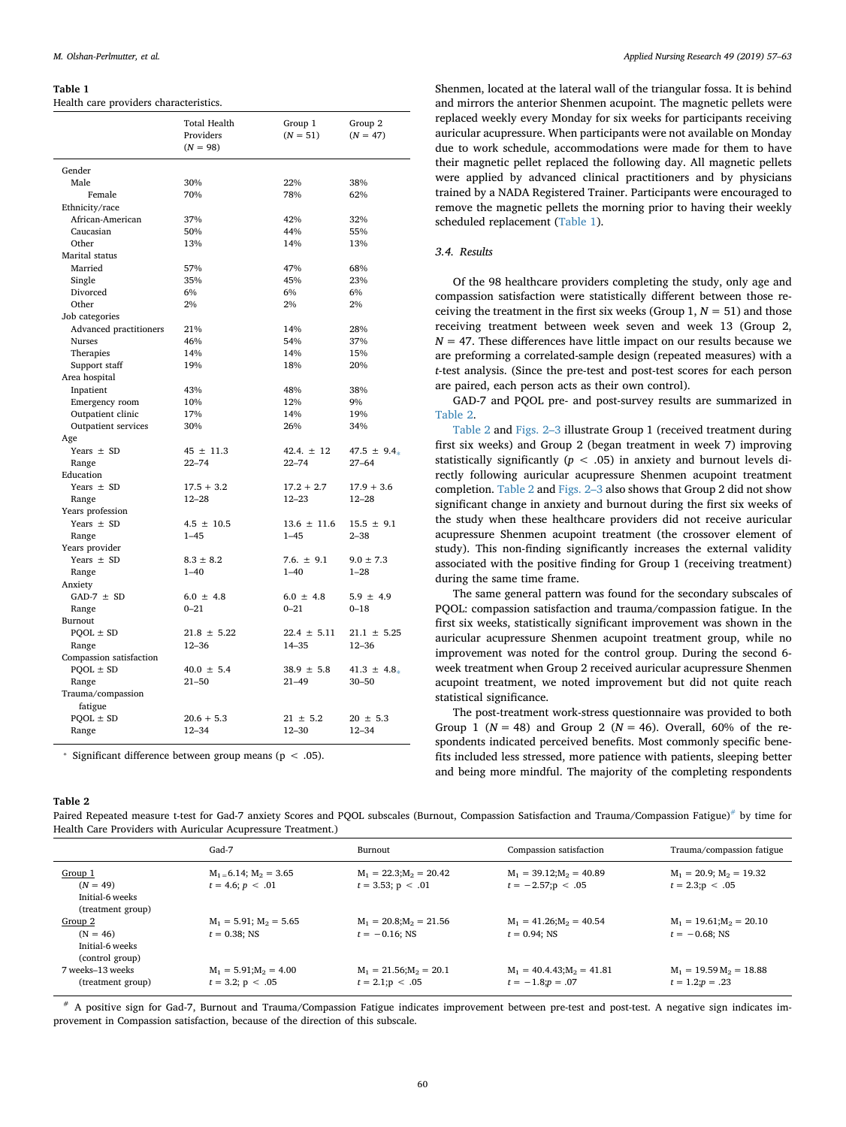#### <span id="page-3-0"></span>**Table 1**

Health care providers characteristics.

|                         | <b>Total Health</b><br>Providers<br>$(N = 98)$ | Group 1<br>$(N = 51)$ | Group 2<br>$(N = 47)$ |
|-------------------------|------------------------------------------------|-----------------------|-----------------------|
| Gender                  |                                                |                       |                       |
| Male                    | 30%                                            | 22%                   | 38%                   |
| Female                  | 70%                                            | 78%                   | 62%                   |
| Ethnicity/race          |                                                |                       |                       |
| African-American        | 37%                                            | 42%                   | 32%                   |
| Caucasian               | 50%                                            | 44%                   | 55%                   |
| Other                   | 13%                                            | 14%                   | 13%                   |
| Marital status          |                                                |                       |                       |
| Married                 | 57%                                            | 47%                   | 68%                   |
| Single                  | 35%                                            | 45%                   | 23%                   |
| Divorced                | 6%                                             | 6%                    | 6%                    |
| Other                   | 2%                                             | 2%                    | 2%                    |
| Job categories          |                                                |                       |                       |
| Advanced practitioners  | 21%                                            | 14%                   | 28%                   |
| <b>Nurses</b>           | 46%                                            | 54%                   | 37%                   |
| Therapies               | 14%                                            | 14%                   | 15%                   |
| Support staff           | 19%                                            | 18%                   | 20%                   |
| Area hospital           |                                                |                       |                       |
| Inpatient               | 43%                                            | 48%                   | 38%                   |
| Emergency room          | 10%                                            | 12%                   | 9%                    |
| Outpatient clinic       | 17%                                            | 14%                   | 19%                   |
| Outpatient services     | 30%                                            | 26%                   | 34%                   |
| Age                     |                                                |                       |                       |
| Years $\pm$ SD          | $45 \pm 11.3$                                  | 42.4. $\pm$ 12        | 47.5 $\pm$ 9.4.       |
| Range                   | $22 - 74$                                      | $22 - 74$             | $27 - 64$             |
| Education               |                                                |                       |                       |
| Years $\pm$ SD          | $17.5 + 3.2$                                   | $17.2 + 2.7$          | $17.9 + 3.6$          |
| Range                   | $12 - 28$                                      | $12 - 23$             | $12 - 28$             |
| Years profession        |                                                |                       |                       |
| Years $\pm$ SD          | $4.5 \pm 10.5$                                 | $13.6 \pm 11.6$       | $15.5 \pm 9.1$        |
| Range                   | $1 - 45$                                       | $1 - 45$              | $2 - 38$              |
| Years provider          |                                                |                       |                       |
| Years $\pm$ SD          | $8.3 \pm 8.2$                                  | 7.6. $\pm$ 9.1        | $9.0 \pm 7.3$         |
| Range                   | $1 - 40$                                       | $1 - 40$              | $1 - 28$              |
| Anxiety                 |                                                |                       |                       |
| GAD-7 $\pm$ SD          | $6.0 \pm 4.8$                                  | $6.0 \pm 4.8$         | $5.9 \pm 4.9$         |
| Range                   | $0 - 21$                                       | $0 - 21$              | $0 - 18$              |
| Burnout                 |                                                |                       |                       |
| $POOL \pm SD$           | $21.8 \pm 5.22$                                | $22.4 \pm 5.11$       | $21.1 \pm 5.25$       |
| Range                   | $12 - 36$                                      | 14-35                 | $12 - 36$             |
| Compassion satisfaction |                                                |                       |                       |
| $POOL \pm SD$           | $40.0 \pm 5.4$                                 | $38.9 \pm 5.8$        | 41.3 $\pm$ 4.8.       |
| Range                   | $21 - 50$                                      | $21 - 49$             | $30 - 50$             |
| Trauma/compassion       |                                                |                       |                       |
| fatigue                 |                                                |                       |                       |
| $POOL \pm SD$           | $20.6 + 5.3$                                   | $21 \pm 5.2$          | $20 \pm 5.3$          |
| Range                   | $12 - 34$                                      | $12 - 30$             | $12 - 34$             |

<span id="page-3-2"></span>\* Significant difference between group means ( $p < .05$ ).

Shenmen, located at the lateral wall of the triangular fossa. It is behind and mirrors the anterior Shenmen acupoint. The magnetic pellets were replaced weekly every Monday for six weeks for participants receiving auricular acupressure. When participants were not available on Monday due to work schedule, accommodations were made for them to have their magnetic pellet replaced the following day. All magnetic pellets were applied by advanced clinical practitioners and by physicians trained by a NADA Registered Trainer. Participants were encouraged to remove the magnetic pellets the morning prior to having their weekly scheduled replacement ([Table 1](#page-3-0)).

# *3.4. Results*

Of the 98 healthcare providers completing the study, only age and compassion satisfaction were statistically different between those receiving the treatment in the first six weeks (Group  $1, N = 51$ ) and those receiving treatment between week seven and week 13 (Group 2,  $N = 47$ . These differences have little impact on our results because we are preforming a correlated-sample design (repeated measures) with a *t*-test analysis. (Since the pre-test and post-test scores for each person are paired, each person acts as their own control).

GAD-7 and PQOL pre- and post-survey results are summarized in [Table 2](#page-3-1).

[Table 2](#page-3-1) and [Figs. 2–3](#page-4-0) illustrate Group 1 (received treatment during first six weeks) and Group 2 (began treatment in week 7) improving statistically significantly ( $p < .05$ ) in anxiety and burnout levels directly following auricular acupressure Shenmen acupoint treatment completion. [Table 2](#page-3-1) and [Figs. 2–3](#page-4-0) also shows that Group 2 did not show significant change in anxiety and burnout during the first six weeks of the study when these healthcare providers did not receive auricular acupressure Shenmen acupoint treatment (the crossover element of study). This non-finding significantly increases the external validity associated with the positive finding for Group 1 (receiving treatment) during the same time frame.

The same general pattern was found for the secondary subscales of PQOL: compassion satisfaction and trauma/compassion fatigue. In the first six weeks, statistically significant improvement was shown in the auricular acupressure Shenmen acupoint treatment group, while no improvement was noted for the control group. During the second 6 week treatment when Group 2 received auricular acupressure Shenmen acupoint treatment, we noted improvement but did not quite reach statistical significance.

The post-treatment work-stress questionnaire was provided to both Group 1 ( $N = 48$ ) and Group 2 ( $N = 46$ ). Overall, 60% of the respondents indicated perceived benefits. Most commonly specific benefits included less stressed, more patience with patients, sleeping better and being more mindful. The majority of the completing respondents

#### <span id="page-3-1"></span>**Table 2**

Paired Repeated measure t-test for Gad-7 anxiety Scores and PQOL subscales (Burnout, Compassion Satisfaction and Trauma/Compassion Fatigue)<sup>#</sup> by time for Health Care Providers with Auricular Acupressure Treatment.)

|                                                               | Gad-7                                                | Burnout                                                | Compassion satisfaction                                | Trauma/compassion fatigue                             |
|---------------------------------------------------------------|------------------------------------------------------|--------------------------------------------------------|--------------------------------------------------------|-------------------------------------------------------|
| Group 1<br>$(N = 49)$<br>Initial-6 weeks<br>(treatment group) | $M_1 = 6.14$ ; $M_2 = 3.65$<br>$t = 4.6$ ; $p < .01$ | $M_1 = 22.3$ ; $M_2 = 20.42$<br>$t = 3.53$ ; $p < .01$ | $M_1 = 39.12$ ; $M_2 = 40.89$<br>$t = -2.57$ ; p < .05 | $M_1 = 20.9$ ; $M_2 = 19.32$<br>$t = 2.3$ ; $p < .05$ |
| Group 2<br>$(N = 46)$<br>Initial-6 weeks<br>(control group)   | $M_1 = 5.91$ ; $M_2 = 5.65$<br>$t = 0.38$ ; NS       | $M_1 = 20.8$ ; $M_2 = 21.56$<br>$t = -0.16$ : NS       | $M_1 = 41.26$ ; $M_2 = 40.54$<br>$t = 0.94$ : NS       | $M_1 = 19.61$ ; $M_2 = 20.10$<br>$t = -0.68$ ; NS     |
| 7 weeks-13 weeks<br>(treatment group)                         | $M_1 = 5.91$ ; $M_2 = 4.00$<br>$t = 3.2; p < .05$    | $M_1 = 21.56$ ; $M_2 = 20.1$<br>$t = 2.1$ ; $p < .05$  | $M_1 = 40.4.43$ ; $M_2 = 41.81$<br>$t = -1.8; p = .07$ | $M_1 = 19.59 M_2 = 18.88$<br>$t = 1.2$ ; $p = .23$    |

<span id="page-3-3"></span># A positive sign for Gad-7, Burnout and Trauma/Compassion Fatigue indicates improvement between pre-test and post-test. A negative sign indicates improvement in Compassion satisfaction, because of the direction of this subscale.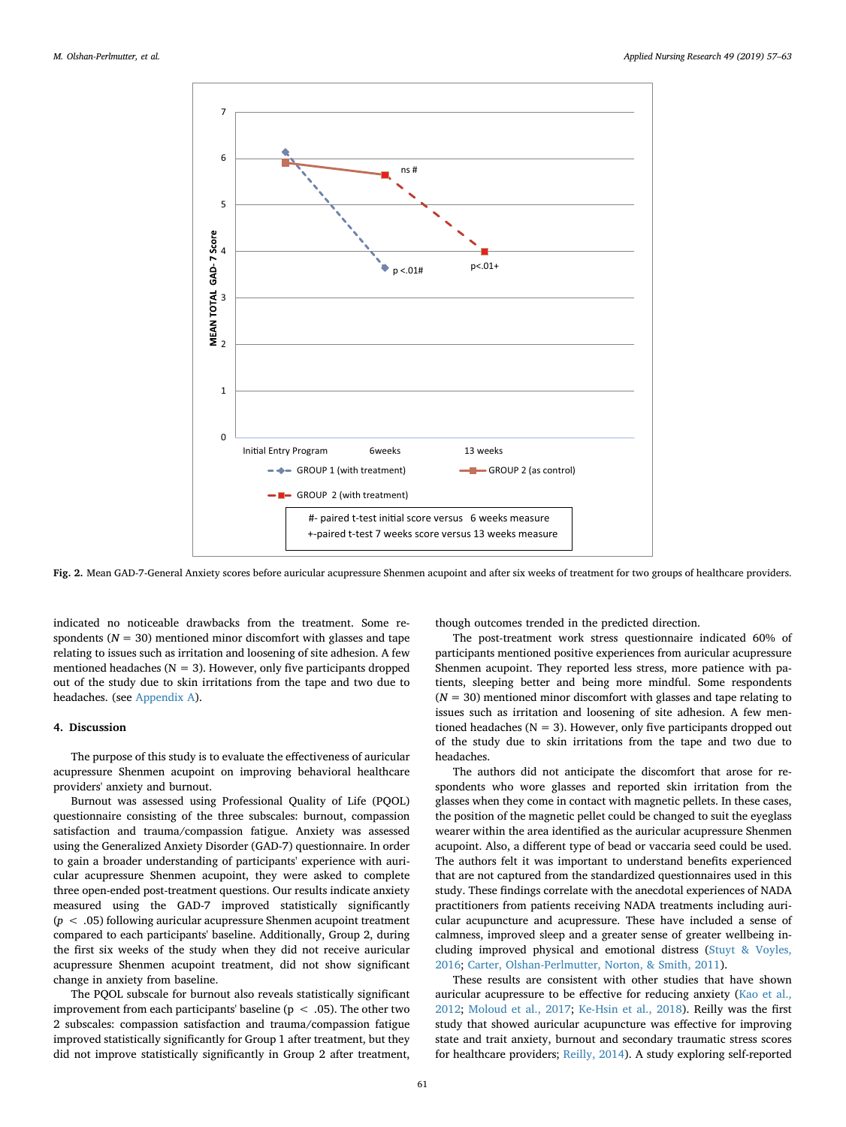<span id="page-4-0"></span>

**Fig. 2.** Mean GAD-7-General Anxiety scores before auricular acupressure Shenmen acupoint and after six weeks of treatment for two groups of healthcare providers.

indicated no noticeable drawbacks from the treatment. Some respondents  $(N = 30)$  mentioned minor discomfort with glasses and tape relating to issues such as irritation and loosening of site adhesion. A few mentioned headaches ( $N = 3$ ). However, only five participants dropped out of the study due to skin irritations from the tape and two due to headaches. (see [Appendix A](#page-6-32)).

#### **4. Discussion**

The purpose of this study is to evaluate the effectiveness of auricular acupressure Shenmen acupoint on improving behavioral healthcare providers' anxiety and burnout.

Burnout was assessed using Professional Quality of Life (PQOL) questionnaire consisting of the three subscales: burnout, compassion satisfaction and trauma/compassion fatigue. Anxiety was assessed using the Generalized Anxiety Disorder (GAD-7) questionnaire. In order to gain a broader understanding of participants' experience with auricular acupressure Shenmen acupoint, they were asked to complete three open-ended post-treatment questions. Our results indicate anxiety measured using the GAD-7 improved statistically significantly (*p* < .05) following auricular acupressure Shenmen acupoint treatment compared to each participants' baseline. Additionally, Group 2, during the first six weeks of the study when they did not receive auricular acupressure Shenmen acupoint treatment, did not show significant change in anxiety from baseline.

The PQOL subscale for burnout also reveals statistically significant improvement from each participants' baseline ( $p < .05$ ). The other two 2 subscales: compassion satisfaction and trauma/compassion fatigue improved statistically significantly for Group 1 after treatment, but they did not improve statistically significantly in Group 2 after treatment,

though outcomes trended in the predicted direction.

The post-treatment work stress questionnaire indicated 60% of participants mentioned positive experiences from auricular acupressure Shenmen acupoint. They reported less stress, more patience with patients, sleeping better and being more mindful. Some respondents  $(N = 30)$  mentioned minor discomfort with glasses and tape relating to issues such as irritation and loosening of site adhesion. A few mentioned headaches ( $N = 3$ ). However, only five participants dropped out of the study due to skin irritations from the tape and two due to headaches.

The authors did not anticipate the discomfort that arose for respondents who wore glasses and reported skin irritation from the glasses when they come in contact with magnetic pellets. In these cases, the position of the magnetic pellet could be changed to suit the eyeglass wearer within the area identified as the auricular acupressure Shenmen acupoint. Also, a different type of bead or vaccaria seed could be used. The authors felt it was important to understand benefits experienced that are not captured from the standardized questionnaires used in this study. These findings correlate with the anecdotal experiences of NADA practitioners from patients receiving NADA treatments including auricular acupuncture and acupressure. These have included a sense of calmness, improved sleep and a greater sense of greater wellbeing including improved physical and emotional distress [\(Stuyt & Voyles,](#page-6-31) [2016;](#page-6-31) [Carter, Olshan-Perlmutter, Norton, & Smith, 2011](#page-6-35)).

These results are consistent with other studies that have shown auricular acupressure to be effective for reducing anxiety [\(Kao et al.,](#page-6-21) [2012;](#page-6-21) [Moloud et al., 2017](#page-6-26); [Ke-Hsin et al., 2018](#page-6-28)). Reilly was the first study that showed auricular acupuncture was effective for improving state and trait anxiety, burnout and secondary traumatic stress scores for healthcare providers; [Reilly, 2014\)](#page-6-16). A study exploring self-reported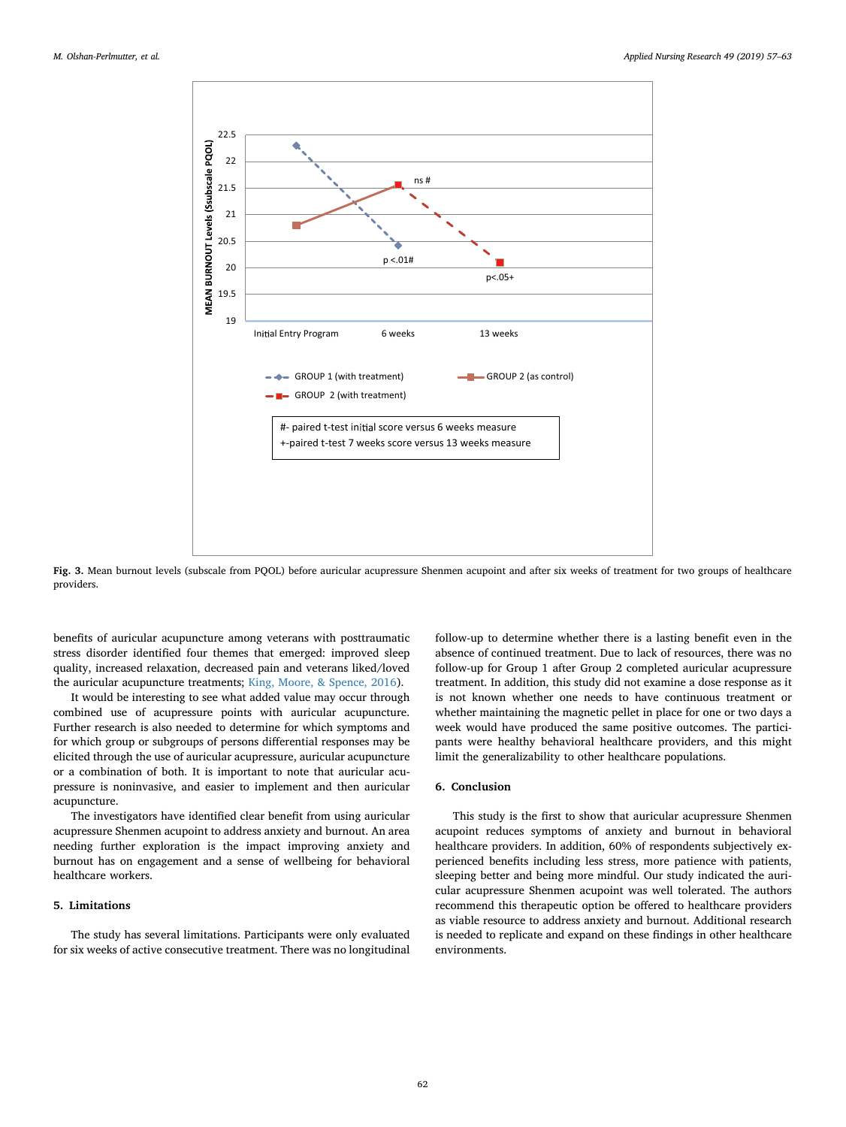

**Fig. 3.** Mean burnout levels (subscale from PQOL) before auricular acupressure Shenmen acupoint and after six weeks of treatment for two groups of healthcare providers.

benefits of auricular acupuncture among veterans with posttraumatic stress disorder identified four themes that emerged: improved sleep quality, increased relaxation, decreased pain and veterans liked/loved the auricular acupuncture treatments; [King, Moore, & Spence, 2016](#page-6-36)).

It would be interesting to see what added value may occur through combined use of acupressure points with auricular acupuncture. Further research is also needed to determine for which symptoms and for which group or subgroups of persons differential responses may be elicited through the use of auricular acupressure, auricular acupuncture or a combination of both. It is important to note that auricular acupressure is noninvasive, and easier to implement and then auricular acupuncture.

The investigators have identified clear benefit from using auricular acupressure Shenmen acupoint to address anxiety and burnout. An area needing further exploration is the impact improving anxiety and burnout has on engagement and a sense of wellbeing for behavioral healthcare workers.

# **5. Limitations**

The study has several limitations. Participants were only evaluated for six weeks of active consecutive treatment. There was no longitudinal

follow-up to determine whether there is a lasting benefit even in the absence of continued treatment. Due to lack of resources, there was no follow-up for Group 1 after Group 2 completed auricular acupressure treatment. In addition, this study did not examine a dose response as it is not known whether one needs to have continuous treatment or whether maintaining the magnetic pellet in place for one or two days a week would have produced the same positive outcomes. The participants were healthy behavioral healthcare providers, and this might limit the generalizability to other healthcare populations.

# **6. Conclusion**

This study is the first to show that auricular acupressure Shenmen acupoint reduces symptoms of anxiety and burnout in behavioral healthcare providers. In addition, 60% of respondents subjectively experienced benefits including less stress, more patience with patients, sleeping better and being more mindful. Our study indicated the auricular acupressure Shenmen acupoint was well tolerated. The authors recommend this therapeutic option be offered to healthcare providers as viable resource to address anxiety and burnout. Additional research is needed to replicate and expand on these findings in other healthcare environments.